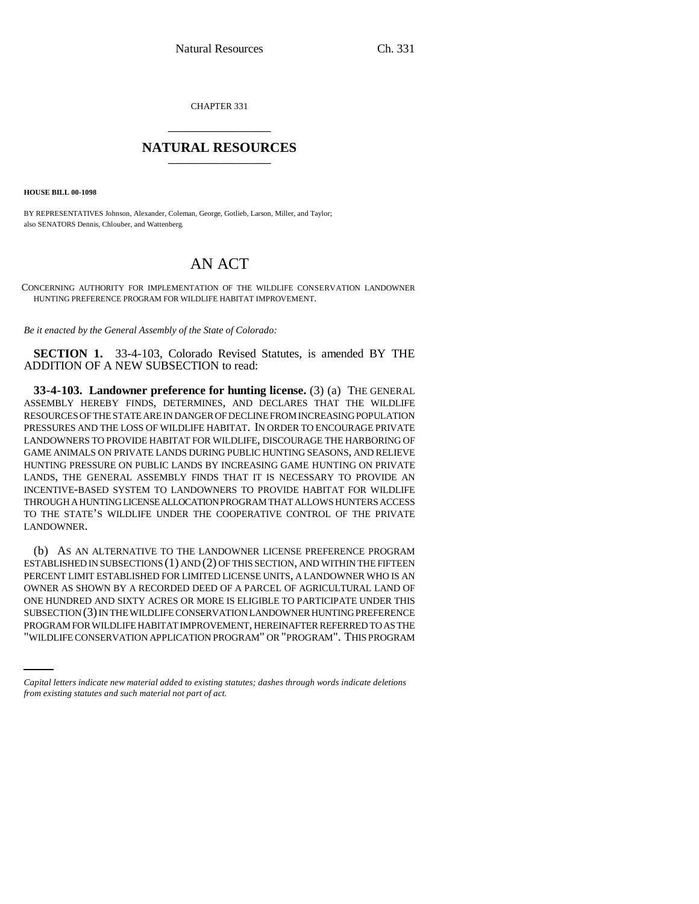CHAPTER 331 \_\_\_\_\_\_\_\_\_\_\_\_\_\_\_

## **NATURAL RESOURCES** \_\_\_\_\_\_\_\_\_\_\_\_\_\_\_

**HOUSE BILL 00-1098** 

BY REPRESENTATIVES Johnson, Alexander, Coleman, George, Gotlieb, Larson, Miller, and Taylor; also SENATORS Dennis, Chlouber, and Wattenberg.

## AN ACT

CONCERNING AUTHORITY FOR IMPLEMENTATION OF THE WILDLIFE CONSERVATION LANDOWNER HUNTING PREFERENCE PROGRAM FOR WILDLIFE HABITAT IMPROVEMENT.

*Be it enacted by the General Assembly of the State of Colorado:*

**SECTION 1.** 33-4-103, Colorado Revised Statutes, is amended BY THE ADDITION OF A NEW SUBSECTION to read:

**33-4-103. Landowner preference for hunting license.** (3) (a) THE GENERAL ASSEMBLY HEREBY FINDS, DETERMINES, AND DECLARES THAT THE WILDLIFE RESOURCES OF THE STATE ARE IN DANGER OF DECLINE FROM INCREASING POPULATION PRESSURES AND THE LOSS OF WILDLIFE HABITAT. IN ORDER TO ENCOURAGE PRIVATE LANDOWNERS TO PROVIDE HABITAT FOR WILDLIFE, DISCOURAGE THE HARBORING OF GAME ANIMALS ON PRIVATE LANDS DURING PUBLIC HUNTING SEASONS, AND RELIEVE HUNTING PRESSURE ON PUBLIC LANDS BY INCREASING GAME HUNTING ON PRIVATE LANDS, THE GENERAL ASSEMBLY FINDS THAT IT IS NECESSARY TO PROVIDE AN INCENTIVE-BASED SYSTEM TO LANDOWNERS TO PROVIDE HABITAT FOR WILDLIFE THROUGH A HUNTING LICENSE ALLOCATION PROGRAM THAT ALLOWS HUNTERS ACCESS TO THE STATE'S WILDLIFE UNDER THE COOPERATIVE CONTROL OF THE PRIVATE LANDOWNER.

SUBSECTION (3) IN THE WILDLIFE CONSERVATION LANDOWNER HUNTING PREFERENCE (b) AS AN ALTERNATIVE TO THE LANDOWNER LICENSE PREFERENCE PROGRAM ESTABLISHED IN SUBSECTIONS (1) AND (2) OF THIS SECTION, AND WITHIN THE FIFTEEN PERCENT LIMIT ESTABLISHED FOR LIMITED LICENSE UNITS, A LANDOWNER WHO IS AN OWNER AS SHOWN BY A RECORDED DEED OF A PARCEL OF AGRICULTURAL LAND OF ONE HUNDRED AND SIXTY ACRES OR MORE IS ELIGIBLE TO PARTICIPATE UNDER THIS PROGRAM FOR WILDLIFE HABITAT IMPROVEMENT, HEREINAFTER REFERRED TO AS THE "WILDLIFE CONSERVATION APPLICATION PROGRAM" OR "PROGRAM". THIS PROGRAM

*Capital letters indicate new material added to existing statutes; dashes through words indicate deletions from existing statutes and such material not part of act.*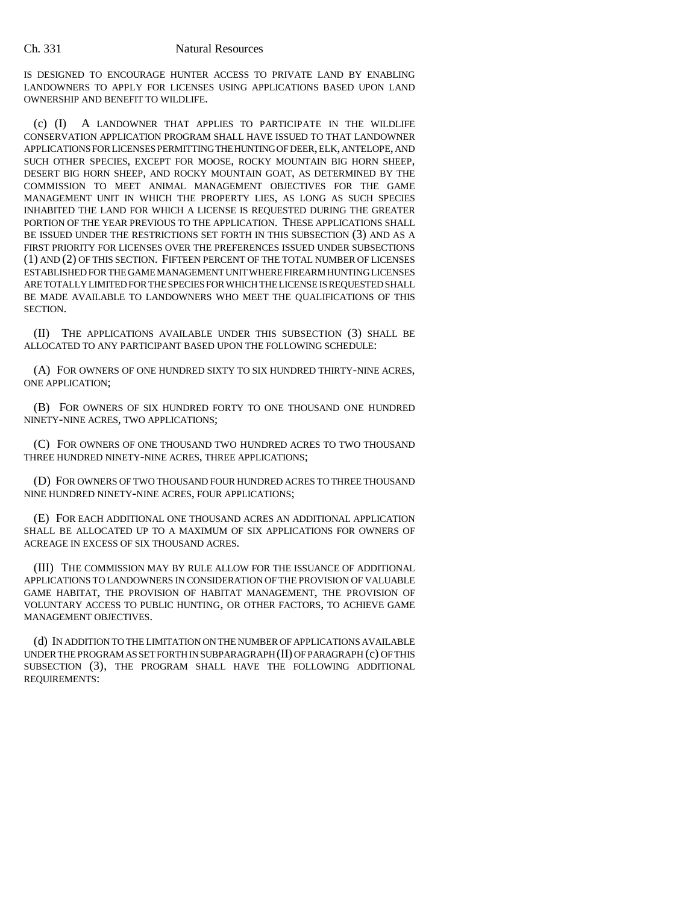## Ch. 331 Natural Resources

IS DESIGNED TO ENCOURAGE HUNTER ACCESS TO PRIVATE LAND BY ENABLING LANDOWNERS TO APPLY FOR LICENSES USING APPLICATIONS BASED UPON LAND OWNERSHIP AND BENEFIT TO WILDLIFE.

(c) (I) A LANDOWNER THAT APPLIES TO PARTICIPATE IN THE WILDLIFE CONSERVATION APPLICATION PROGRAM SHALL HAVE ISSUED TO THAT LANDOWNER APPLICATIONS FOR LICENSES PERMITTING THE HUNTING OF DEER, ELK, ANTELOPE, AND SUCH OTHER SPECIES, EXCEPT FOR MOOSE, ROCKY MOUNTAIN BIG HORN SHEEP, DESERT BIG HORN SHEEP, AND ROCKY MOUNTAIN GOAT, AS DETERMINED BY THE COMMISSION TO MEET ANIMAL MANAGEMENT OBJECTIVES FOR THE GAME MANAGEMENT UNIT IN WHICH THE PROPERTY LIES, AS LONG AS SUCH SPECIES INHABITED THE LAND FOR WHICH A LICENSE IS REQUESTED DURING THE GREATER PORTION OF THE YEAR PREVIOUS TO THE APPLICATION. THESE APPLICATIONS SHALL BE ISSUED UNDER THE RESTRICTIONS SET FORTH IN THIS SUBSECTION (3) AND AS A FIRST PRIORITY FOR LICENSES OVER THE PREFERENCES ISSUED UNDER SUBSECTIONS (1) AND (2) OF THIS SECTION. FIFTEEN PERCENT OF THE TOTAL NUMBER OF LICENSES ESTABLISHED FOR THE GAME MANAGEMENT UNIT WHERE FIREARM HUNTING LICENSES ARE TOTALLY LIMITED FOR THE SPECIES FOR WHICH THE LICENSE IS REQUESTED SHALL BE MADE AVAILABLE TO LANDOWNERS WHO MEET THE QUALIFICATIONS OF THIS SECTION.

(II) THE APPLICATIONS AVAILABLE UNDER THIS SUBSECTION (3) SHALL BE ALLOCATED TO ANY PARTICIPANT BASED UPON THE FOLLOWING SCHEDULE:

(A) FOR OWNERS OF ONE HUNDRED SIXTY TO SIX HUNDRED THIRTY-NINE ACRES, ONE APPLICATION;

(B) FOR OWNERS OF SIX HUNDRED FORTY TO ONE THOUSAND ONE HUNDRED NINETY-NINE ACRES, TWO APPLICATIONS;

(C) FOR OWNERS OF ONE THOUSAND TWO HUNDRED ACRES TO TWO THOUSAND THREE HUNDRED NINETY-NINE ACRES, THREE APPLICATIONS;

(D) FOR OWNERS OF TWO THOUSAND FOUR HUNDRED ACRES TO THREE THOUSAND NINE HUNDRED NINETY-NINE ACRES, FOUR APPLICATIONS;

(E) FOR EACH ADDITIONAL ONE THOUSAND ACRES AN ADDITIONAL APPLICATION SHALL BE ALLOCATED UP TO A MAXIMUM OF SIX APPLICATIONS FOR OWNERS OF ACREAGE IN EXCESS OF SIX THOUSAND ACRES.

(III) THE COMMISSION MAY BY RULE ALLOW FOR THE ISSUANCE OF ADDITIONAL APPLICATIONS TO LANDOWNERS IN CONSIDERATION OF THE PROVISION OF VALUABLE GAME HABITAT, THE PROVISION OF HABITAT MANAGEMENT, THE PROVISION OF VOLUNTARY ACCESS TO PUBLIC HUNTING, OR OTHER FACTORS, TO ACHIEVE GAME MANAGEMENT OBJECTIVES.

(d) IN ADDITION TO THE LIMITATION ON THE NUMBER OF APPLICATIONS AVAILABLE UNDER THE PROGRAM AS SET FORTH IN SUBPARAGRAPH (II) OF PARAGRAPH (c) OF THIS SUBSECTION (3), THE PROGRAM SHALL HAVE THE FOLLOWING ADDITIONAL REQUIREMENTS: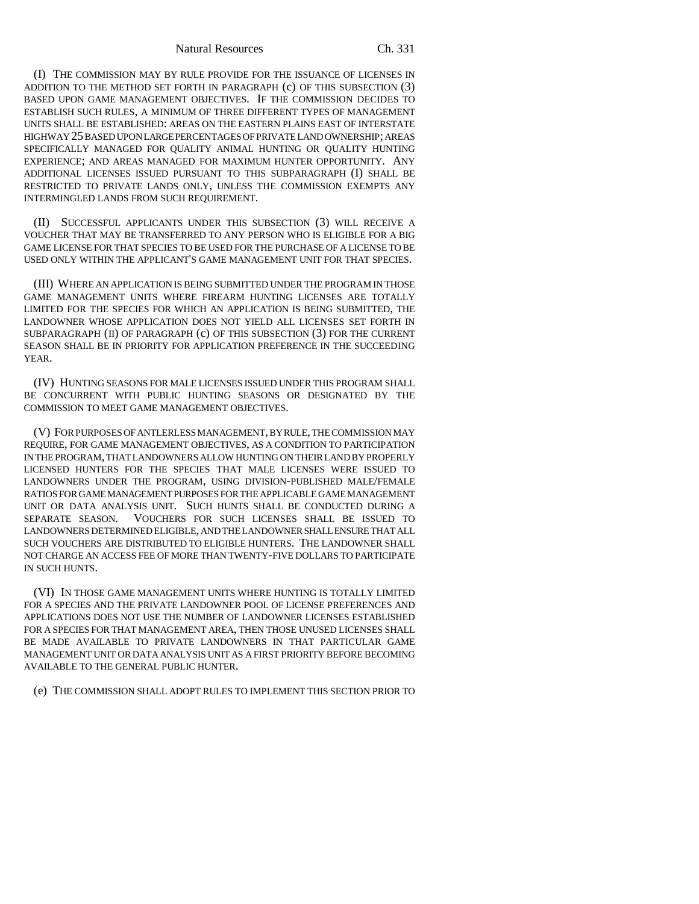Natural Resources Ch. 331

(I) THE COMMISSION MAY BY RULE PROVIDE FOR THE ISSUANCE OF LICENSES IN ADDITION TO THE METHOD SET FORTH IN PARAGRAPH (c) OF THIS SUBSECTION (3) BASED UPON GAME MANAGEMENT OBJECTIVES. IF THE COMMISSION DECIDES TO ESTABLISH SUCH RULES, A MINIMUM OF THREE DIFFERENT TYPES OF MANAGEMENT UNITS SHALL BE ESTABLISHED: AREAS ON THE EASTERN PLAINS EAST OF INTERSTATE HIGHWAY 25 BASED UPON LARGE PERCENTAGES OF PRIVATE LAND OWNERSHIP; AREAS SPECIFICALLY MANAGED FOR QUALITY ANIMAL HUNTING OR QUALITY HUNTING EXPERIENCE; AND AREAS MANAGED FOR MAXIMUM HUNTER OPPORTUNITY. ANY ADDITIONAL LICENSES ISSUED PURSUANT TO THIS SUBPARAGRAPH (I) SHALL BE RESTRICTED TO PRIVATE LANDS ONLY, UNLESS THE COMMISSION EXEMPTS ANY INTERMINGLED LANDS FROM SUCH REQUIREMENT.

(II) SUCCESSFUL APPLICANTS UNDER THIS SUBSECTION (3) WILL RECEIVE A VOUCHER THAT MAY BE TRANSFERRED TO ANY PERSON WHO IS ELIGIBLE FOR A BIG GAME LICENSE FOR THAT SPECIES TO BE USED FOR THE PURCHASE OF A LICENSE TO BE USED ONLY WITHIN THE APPLICANT'S GAME MANAGEMENT UNIT FOR THAT SPECIES.

(III) WHERE AN APPLICATION IS BEING SUBMITTED UNDER THE PROGRAM IN THOSE GAME MANAGEMENT UNITS WHERE FIREARM HUNTING LICENSES ARE TOTALLY LIMITED FOR THE SPECIES FOR WHICH AN APPLICATION IS BEING SUBMITTED, THE LANDOWNER WHOSE APPLICATION DOES NOT YIELD ALL LICENSES SET FORTH IN SUBPARAGRAPH (II) OF PARAGRAPH (c) OF THIS SUBSECTION (3) FOR THE CURRENT SEASON SHALL BE IN PRIORITY FOR APPLICATION PREFERENCE IN THE SUCCEEDING YEAR.

(IV) HUNTING SEASONS FOR MALE LICENSES ISSUED UNDER THIS PROGRAM SHALL BE CONCURRENT WITH PUBLIC HUNTING SEASONS OR DESIGNATED BY THE COMMISSION TO MEET GAME MANAGEMENT OBJECTIVES.

(V) FOR PURPOSES OF ANTLERLESS MANAGEMENT, BY RULE, THE COMMISSION MAY REQUIRE, FOR GAME MANAGEMENT OBJECTIVES, AS A CONDITION TO PARTICIPATION IN THE PROGRAM, THAT LANDOWNERS ALLOW HUNTING ON THEIR LAND BY PROPERLY LICENSED HUNTERS FOR THE SPECIES THAT MALE LICENSES WERE ISSUED TO LANDOWNERS UNDER THE PROGRAM, USING DIVISION-PUBLISHED MALE/FEMALE RATIOS FOR GAME MANAGEMENT PURPOSES FOR THE APPLICABLE GAME MANAGEMENT UNIT OR DATA ANALYSIS UNIT. SUCH HUNTS SHALL BE CONDUCTED DURING A SEPARATE SEASON. VOUCHERS FOR SUCH LICENSES SHALL BE ISSUED TO LANDOWNERS DETERMINED ELIGIBLE, AND THE LANDOWNER SHALL ENSURE THAT ALL SUCH VOUCHERS ARE DISTRIBUTED TO ELIGIBLE HUNTERS. THE LANDOWNER SHALL NOT CHARGE AN ACCESS FEE OF MORE THAN TWENTY-FIVE DOLLARS TO PARTICIPATE IN SUCH HUNTS.

(VI) IN THOSE GAME MANAGEMENT UNITS WHERE HUNTING IS TOTALLY LIMITED FOR A SPECIES AND THE PRIVATE LANDOWNER POOL OF LICENSE PREFERENCES AND APPLICATIONS DOES NOT USE THE NUMBER OF LANDOWNER LICENSES ESTABLISHED FOR A SPECIES FOR THAT MANAGEMENT AREA, THEN THOSE UNUSED LICENSES SHALL BE MADE AVAILABLE TO PRIVATE LANDOWNERS IN THAT PARTICULAR GAME MANAGEMENT UNIT OR DATA ANALYSIS UNIT AS A FIRST PRIORITY BEFORE BECOMING AVAILABLE TO THE GENERAL PUBLIC HUNTER.

(e) THE COMMISSION SHALL ADOPT RULES TO IMPLEMENT THIS SECTION PRIOR TO